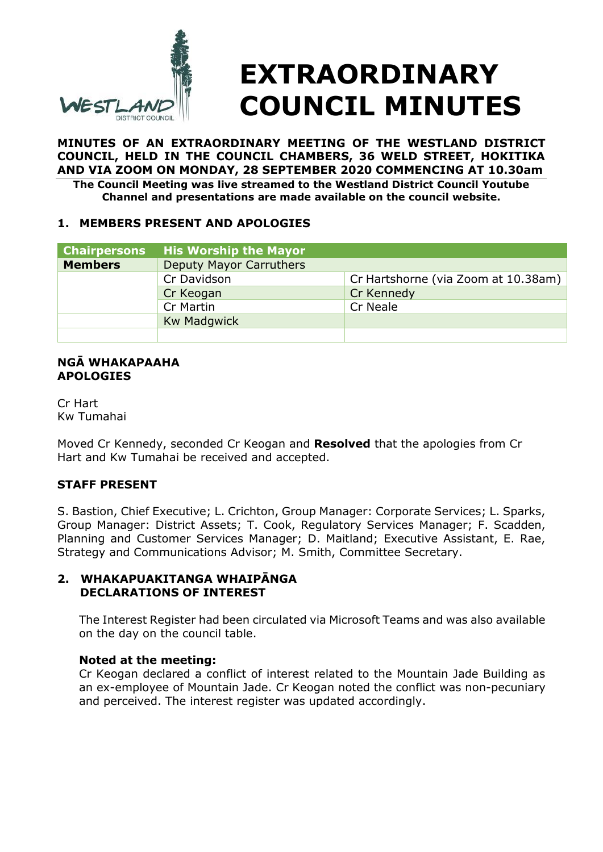

# **EXTRAORDINARY COUNCIL MINUTES**

**MINUTES OF AN EXTRAORDINARY MEETING OF THE WESTLAND DISTRICT COUNCIL, HELD IN THE COUNCIL CHAMBERS, 36 WELD STREET, HOKITIKA AND VIA ZOOM ON MONDAY, 28 SEPTEMBER 2020 COMMENCING AT 10.30am The Council Meeting was live streamed to the Westland District Council Youtube** 

**Channel and presentations are made available on the council website.**

# **1. MEMBERS PRESENT AND APOLOGIES**

| <b>Chairpersons</b> | <b>His Worship the Mayor</b>   |                                     |
|---------------------|--------------------------------|-------------------------------------|
| <b>Members</b>      | <b>Deputy Mayor Carruthers</b> |                                     |
|                     | Cr Davidson                    | Cr Hartshorne (via Zoom at 10.38am) |
|                     | Cr Keogan                      | Cr Kennedy                          |
|                     | Cr Martin                      | Cr Neale                            |
|                     | <b>Kw Madgwick</b>             |                                     |
|                     |                                |                                     |

#### **NGĀ WHAKAPAAHA APOLOGIES**

Cr Hart Kw Tumahai

Moved Cr Kennedy, seconded Cr Keogan and **Resolved** that the apologies from Cr Hart and Kw Tumahai be received and accepted.

# **STAFF PRESENT**

S. Bastion, Chief Executive; L. Crichton, Group Manager: Corporate Services; L. Sparks, Group Manager: District Assets; T. Cook, Regulatory Services Manager; F. Scadden, Planning and Customer Services Manager; D. Maitland; Executive Assistant, E. Rae, Strategy and Communications Advisor; M. Smith, Committee Secretary.

# **2. WHAKAPUAKITANGA WHAIPĀNGA DECLARATIONS OF INTEREST**

The Interest Register had been circulated via Microsoft Teams and was also available on the day on the council table.

# **Noted at the meeting:**

Cr Keogan declared a conflict of interest related to the Mountain Jade Building as an ex-employee of Mountain Jade. Cr Keogan noted the conflict was non-pecuniary and perceived. The interest register was updated accordingly.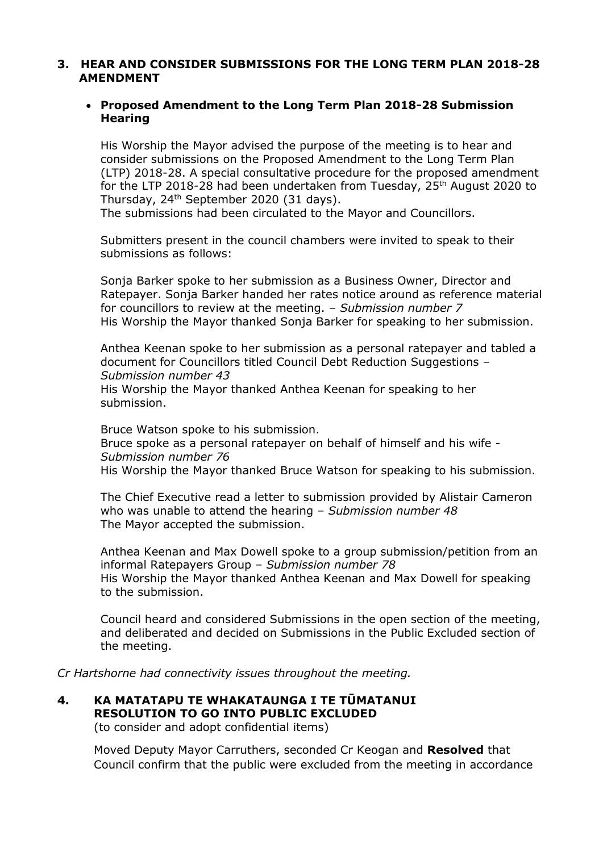#### **3. HEAR AND CONSIDER SUBMISSIONS FOR THE LONG TERM PLAN 2018-28 AMENDMENT**

### **Proposed Amendment to the Long Term Plan 2018-28 Submission Hearing**

His Worship the Mayor advised the purpose of the meeting is to hear and consider submissions on the Proposed Amendment to the Long Term Plan (LTP) 2018-28. A special consultative procedure for the proposed amendment for the LTP 2018-28 had been undertaken from Tuesday, 25th August 2020 to Thursday, 24th September 2020 (31 days).

The submissions had been circulated to the Mayor and Councillors.

Submitters present in the council chambers were invited to speak to their submissions as follows:

Sonja Barker spoke to her submission as a Business Owner, Director and Ratepayer. Sonja Barker handed her rates notice around as reference material for councillors to review at the meeting. – *Submission number 7* His Worship the Mayor thanked Sonja Barker for speaking to her submission.

Anthea Keenan spoke to her submission as a personal ratepayer and tabled a document for Councillors titled Council Debt Reduction Suggestions – *Submission number 43*

His Worship the Mayor thanked Anthea Keenan for speaking to her submission.

Bruce Watson spoke to his submission. Bruce spoke as a personal ratepayer on behalf of himself and his wife - *Submission number 76* His Worship the Mayor thanked Bruce Watson for speaking to his submission.

The Chief Executive read a letter to submission provided by Alistair Cameron who was unable to attend the hearing – *Submission number 48* The Mayor accepted the submission.

Anthea Keenan and Max Dowell spoke to a group submission/petition from an informal Ratepayers Group – *Submission number 78* His Worship the Mayor thanked Anthea Keenan and Max Dowell for speaking to the submission.

Council heard and considered Submissions in the open section of the meeting, and deliberated and decided on Submissions in the Public Excluded section of the meeting.

*Cr Hartshorne had connectivity issues throughout the meeting.* 

# **4. KA MATATAPU TE WHAKATAUNGA I TE TŪMATANUI RESOLUTION TO GO INTO PUBLIC EXCLUDED**

(to consider and adopt confidential items)

Moved Deputy Mayor Carruthers, seconded Cr Keogan and **Resolved** that Council confirm that the public were excluded from the meeting in accordance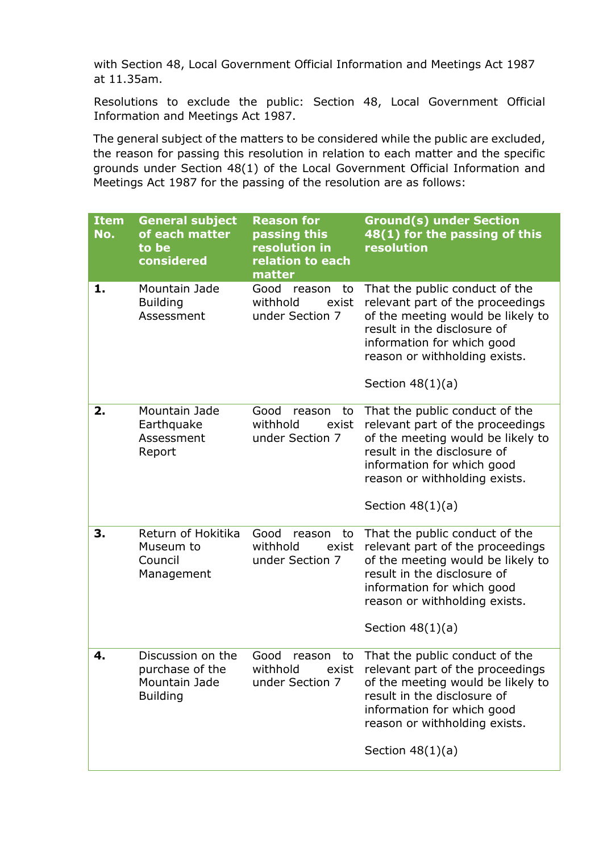with Section 48, Local Government Official Information and Meetings Act 1987 at 11.35am.

Resolutions to exclude the public: Section 48, Local Government Official Information and Meetings Act 1987.

The general subject of the matters to be considered while the public are excluded, the reason for passing this resolution in relation to each matter and the specific grounds under Section 48(1) of the Local Government Official Information and Meetings Act 1987 for the passing of the resolution are as follows:

| <b>Item</b><br>No. | <b>General subject</b><br>of each matter<br>to be<br>considered          | <b>Reason for</b><br>passing this<br>resolution in<br>relation to each<br>matter | <b>Ground(s) under Section</b><br>48(1) for the passing of this<br>resolution                                                                                                                                               |
|--------------------|--------------------------------------------------------------------------|----------------------------------------------------------------------------------|-----------------------------------------------------------------------------------------------------------------------------------------------------------------------------------------------------------------------------|
| 1.                 | Mountain Jade<br><b>Building</b><br>Assessment                           | Good<br>reason<br>to<br>withhold<br>exist<br>under Section 7                     | That the public conduct of the<br>relevant part of the proceedings<br>of the meeting would be likely to<br>result in the disclosure of<br>information for which good<br>reason or withholding exists.<br>Section $48(1)(a)$ |
| 2.                 | Mountain Jade<br>Earthquake<br>Assessment<br>Report                      | Good<br>reason<br>to<br>withhold<br>exist<br>under Section 7                     | That the public conduct of the<br>relevant part of the proceedings<br>of the meeting would be likely to<br>result in the disclosure of<br>information for which good<br>reason or withholding exists.<br>Section $48(1)(a)$ |
| 3.                 | Return of Hokitika<br>Museum to<br>Council<br>Management                 | Good<br>to<br>reason<br>withhold<br>exist<br>under Section 7                     | That the public conduct of the<br>relevant part of the proceedings<br>of the meeting would be likely to<br>result in the disclosure of<br>information for which good<br>reason or withholding exists.<br>Section $48(1)(a)$ |
| 4.                 | Discussion on the<br>purchase of the<br>Mountain Jade<br><b>Building</b> | Good<br>reason<br>to<br>withhold<br>exist<br>under Section 7                     | That the public conduct of the<br>relevant part of the proceedings<br>of the meeting would be likely to<br>result in the disclosure of<br>information for which good<br>reason or withholding exists.<br>Section $48(1)(a)$ |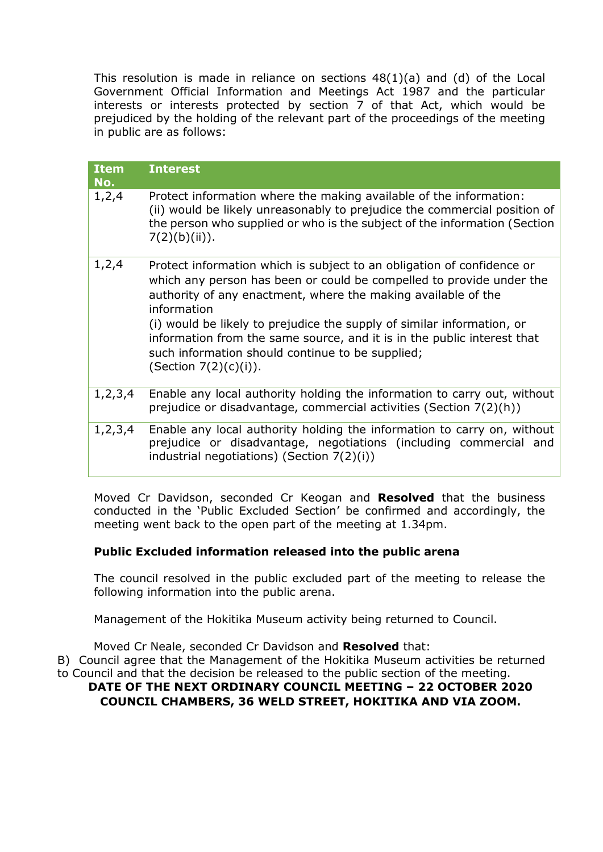This resolution is made in reliance on sections 48(1)(a) and (d) of the Local Government Official Information and Meetings Act 1987 and the particular interests or interests protected by section 7 of that Act, which would be prejudiced by the holding of the relevant part of the proceedings of the meeting in public are as follows:

| <b>Item</b><br>No. | <b>Interest</b>                                                                                                                                                                                                                                                                                                                                                                                                                                                     |  |
|--------------------|---------------------------------------------------------------------------------------------------------------------------------------------------------------------------------------------------------------------------------------------------------------------------------------------------------------------------------------------------------------------------------------------------------------------------------------------------------------------|--|
| 1, 2, 4            | Protect information where the making available of the information:<br>(ii) would be likely unreasonably to prejudice the commercial position of<br>the person who supplied or who is the subject of the information (Section<br>7(2)(b)(ii)).                                                                                                                                                                                                                       |  |
| 1,2,4              | Protect information which is subject to an obligation of confidence or<br>which any person has been or could be compelled to provide under the<br>authority of any enactment, where the making available of the<br>information<br>(i) would be likely to prejudice the supply of similar information, or<br>information from the same source, and it is in the public interest that<br>such information should continue to be supplied;<br>(Section $7(2)(c)(i)$ ). |  |
| 1, 2, 3, 4         | Enable any local authority holding the information to carry out, without<br>prejudice or disadvantage, commercial activities (Section 7(2)(h))                                                                                                                                                                                                                                                                                                                      |  |
| 1, 2, 3, 4         | Enable any local authority holding the information to carry on, without<br>prejudice or disadvantage, negotiations (including commercial and<br>industrial negotiations) (Section $7(2)(i)$ )                                                                                                                                                                                                                                                                       |  |

Moved Cr Davidson, seconded Cr Keogan and **Resolved** that the business conducted in the 'Public Excluded Section' be confirmed and accordingly, the meeting went back to the open part of the meeting at 1.34pm.

# **Public Excluded information released into the public arena**

The council resolved in the public excluded part of the meeting to release the following information into the public arena.

Management of the Hokitika Museum activity being returned to Council.

Moved Cr Neale, seconded Cr Davidson and **Resolved** that:

B) Council agree that the Management of the Hokitika Museum activities be returned to Council and that the decision be released to the public section of the meeting.

#### **DATE OF THE NEXT ORDINARY COUNCIL MEETING – 22 OCTOBER 2020 COUNCIL CHAMBERS, 36 WELD STREET, HOKITIKA AND VIA ZOOM.**